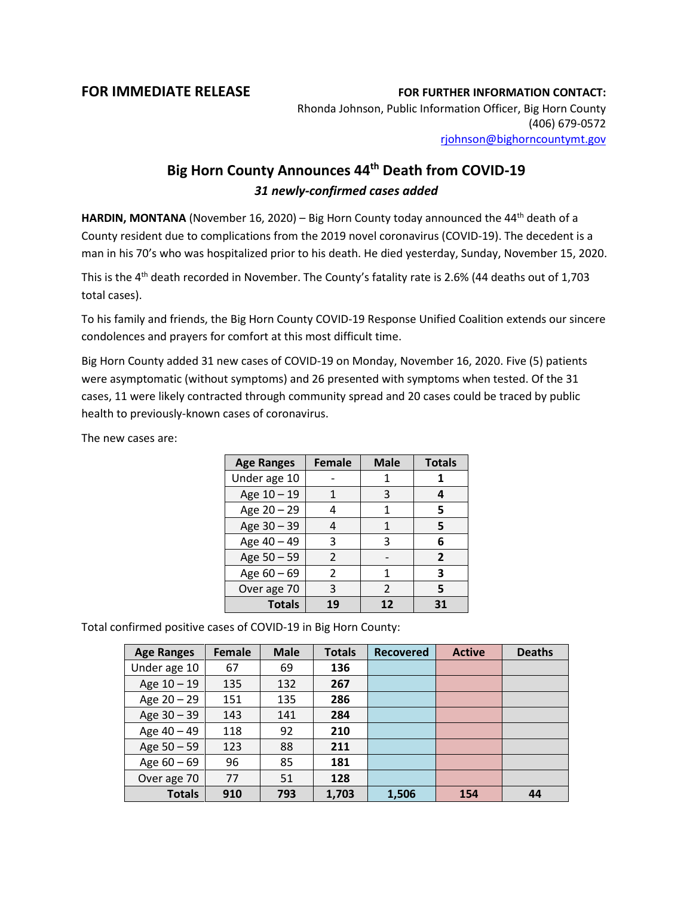## **FOR IMMEDIATE RELEASE FOR FURTHER INFORMATION CONTACT:**

Rhonda Johnson, Public Information Officer, Big Horn County (406) 679-0572 [rjohnson@bighorncountymt.gov](mailto:rjohnson@bighorncountymt.gov)

## **Big Horn County Announces 44th Death from COVID-19** *31 newly-confirmed cases added*

HARDIN, MONTANA (November 16, 2020) – Big Horn County today announced the 44<sup>th</sup> death of a County resident due to complications from the 2019 novel coronavirus (COVID-19). The decedent is a man in his 70's who was hospitalized prior to his death. He died yesterday, Sunday, November 15, 2020.

This is the 4<sup>th</sup> death recorded in November. The County's fatality rate is 2.6% (44 deaths out of 1,703 total cases).

To his family and friends, the Big Horn County COVID-19 Response Unified Coalition extends our sincere condolences and prayers for comfort at this most difficult time.

Big Horn County added 31 new cases of COVID-19 on Monday, November 16, 2020. Five (5) patients were asymptomatic (without symptoms) and 26 presented with symptoms when tested. Of the 31 cases, 11 were likely contracted through community spread and 20 cases could be traced by public health to previously-known cases of coronavirus.

The new cases are:

| <b>Age Ranges</b> | <b>Female</b> | <b>Male</b> | <b>Totals</b> |
|-------------------|---------------|-------------|---------------|
| Under age 10      |               |             |               |
| Age 10 - 19       | 1             | 3           |               |
| Age 20 - 29       |               | 1           | 5             |
| Age 30 - 39       |               | 1           | 5             |
| Age 40 - 49       | 3             | 3           | 6             |
| Age 50 - 59       | $\mathcal{P}$ |             | 2             |
| Age 60 - 69       | 2             | 1           | 3             |
| Over age 70       | 3             | 2           | 5             |
| <b>Totals</b>     | 19            | 12          | 31            |

Total confirmed positive cases of COVID-19 in Big Horn County:

| <b>Age Ranges</b> | <b>Female</b> | <b>Male</b> | <b>Totals</b> | <b>Recovered</b> | <b>Active</b> | <b>Deaths</b> |
|-------------------|---------------|-------------|---------------|------------------|---------------|---------------|
| Under age 10      | 67            | 69          | 136           |                  |               |               |
| Age 10 - 19       | 135           | 132         | 267           |                  |               |               |
| Age 20 - 29       | 151           | 135         | 286           |                  |               |               |
| Age 30 - 39       | 143           | 141         | 284           |                  |               |               |
| Age 40 - 49       | 118           | 92          | 210           |                  |               |               |
| Age 50 - 59       | 123           | 88          | 211           |                  |               |               |
| Age $60 - 69$     | 96            | 85          | 181           |                  |               |               |
| Over age 70       | 77            | 51          | 128           |                  |               |               |
| <b>Totals</b>     | 910           | 793         | 1,703         | 1,506            | 154           | 44            |